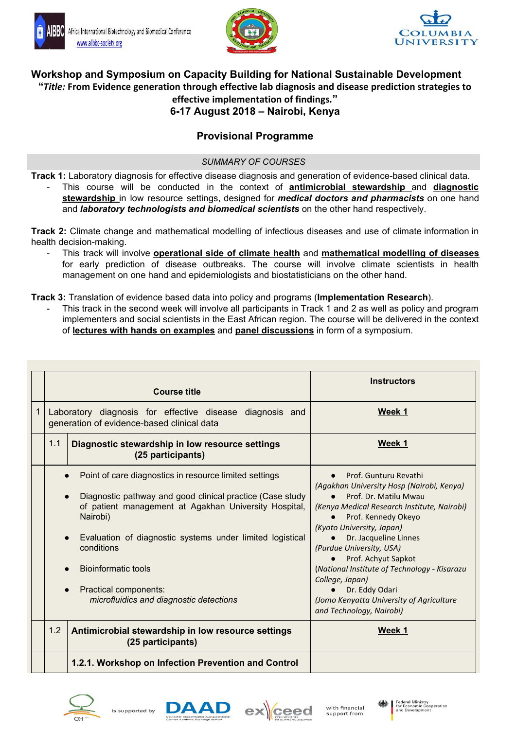





# **Workshop and Symposium on Capacity Building for National Sustainable Development "***Title:* **From Evidence generation through effective lab diagnosis and disease prediction strategies to effective implementation of findings***.***" 6-17 August 2018 – Nairobi, Kenya**

# **Provisional Programme**

## *SUMMARY OF COURSES*

**Track 1:** Laboratory diagnosis for effective disease diagnosis and generation of evidence-based clinical data.

- This course will be conducted in the context of **antimicrobial stewardship** and **diagnostic stewardship** in low resource settings, designed for *medical doctors and pharmacists* on one hand and *laboratory technologists and biomedical scientists* on the other hand respectively.

**Track 2:** Climate change and mathematical modelling of infectious diseases and use of climate information in health decision-making.

- This track will involve **operational side of climate health** and **mathematical modelling of diseases** for early prediction of disease outbreaks. The course will involve climate scientists in health management on one hand and epidemiologists and biostatisticians on the other hand.

**Track 3:** Translation of evidence based data into policy and programs (**Implementation Research**).

This track in the second week will involve all participants in Track 1 and 2 as well as policy and program implementers and social scientists in the East African region. The course will be delivered in the context of **lectures with hands on examples** and **panel discussions** in form of a symposium.

|                                                                                                                                                                                                                                                                                                                                                                       | <b>Course title</b>                                                                                    | <b>Instructors</b>                                                                                                                                                                                                                                                                                                                                                                                                                                   |
|-----------------------------------------------------------------------------------------------------------------------------------------------------------------------------------------------------------------------------------------------------------------------------------------------------------------------------------------------------------------------|--------------------------------------------------------------------------------------------------------|------------------------------------------------------------------------------------------------------------------------------------------------------------------------------------------------------------------------------------------------------------------------------------------------------------------------------------------------------------------------------------------------------------------------------------------------------|
|                                                                                                                                                                                                                                                                                                                                                                       | Laboratory diagnosis for effective disease diagnosis and<br>generation of evidence-based clinical data | Week 1                                                                                                                                                                                                                                                                                                                                                                                                                                               |
| 1.1<br>Diagnostic stewardship in low resource settings<br>(25 participants)                                                                                                                                                                                                                                                                                           |                                                                                                        | Week 1                                                                                                                                                                                                                                                                                                                                                                                                                                               |
| Point of care diagnostics in resource limited settings<br>Diagnostic pathway and good clinical practice (Case study<br>of patient management at Agakhan University Hospital,<br>Nairobi)<br>Evaluation of diagnostic systems under limited logistical<br>conditions<br><b>Bioinformatic tools</b><br>Practical components:<br>microfluidics and diagnostic detections |                                                                                                        | Prof. Gunturu Revathi<br>(Agakhan University Hosp (Nairobi, Kenya)<br>Prof. Dr. Matilu Mwau<br>(Kenya Medical Research Institute, Nairobi)<br>Prof. Kennedy Okeyo<br>$\bullet$<br>(Kyoto University, Japan)<br>Dr. Jacqueline Linnes<br>(Purdue University, USA)<br>Prof. Achyut Sapkot<br>(National Institute of Technology - Kisarazu<br>College, Japan)<br>Dr. Eddy Odari<br>(Jomo Kenyatta University of Agriculture<br>and Technology, Nairobi) |
| 1.2                                                                                                                                                                                                                                                                                                                                                                   | Antimicrobial stewardship in low resource settings<br>(25 participants)                                | Week 1                                                                                                                                                                                                                                                                                                                                                                                                                                               |
|                                                                                                                                                                                                                                                                                                                                                                       | 1.2.1. Workshop on Infection Prevention and Control                                                    |                                                                                                                                                                                                                                                                                                                                                                                                                                                      |









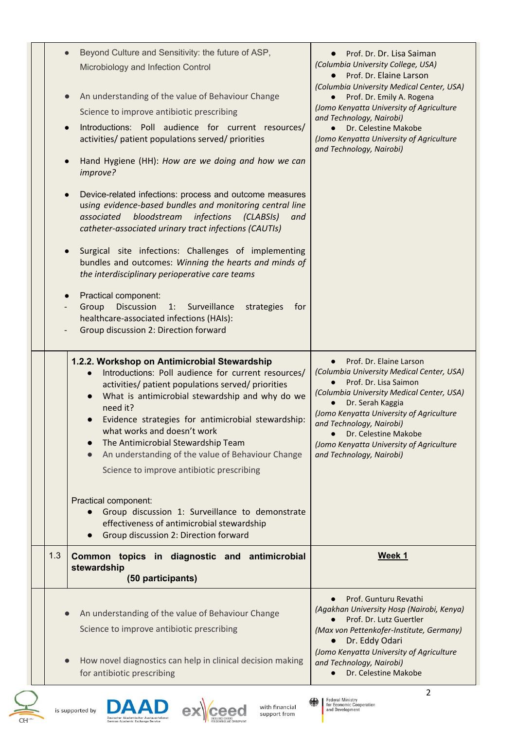|     | Beyond Culture and Sensitivity: the future of ASP,<br>Microbiology and Infection Control                                                                                                                                                                                                                                                                                                                                                              | Prof. Dr. Dr. Lisa Saiman<br>(Columbia University College, USA)<br>Prof. Dr. Elaine Larson<br>(Columbia University Medical Center, USA)                                                                                                                                                                                                                                       |  |
|-----|-------------------------------------------------------------------------------------------------------------------------------------------------------------------------------------------------------------------------------------------------------------------------------------------------------------------------------------------------------------------------------------------------------------------------------------------------------|-------------------------------------------------------------------------------------------------------------------------------------------------------------------------------------------------------------------------------------------------------------------------------------------------------------------------------------------------------------------------------|--|
|     | An understanding of the value of Behaviour Change                                                                                                                                                                                                                                                                                                                                                                                                     | Prof. Dr. Emily A. Rogena<br>(Jomo Kenyatta University of Agriculture                                                                                                                                                                                                                                                                                                         |  |
|     | Science to improve antibiotic prescribing<br>Introductions: Poll audience for current resources/<br>activities/ patient populations served/ priorities                                                                                                                                                                                                                                                                                                | and Technology, Nairobi)<br>Dr. Celestine Makobe<br>(Jomo Kenyatta University of Agriculture                                                                                                                                                                                                                                                                                  |  |
|     | Hand Hygiene (HH): How are we doing and how we can<br>improve?                                                                                                                                                                                                                                                                                                                                                                                        | and Technology, Nairobi)                                                                                                                                                                                                                                                                                                                                                      |  |
|     | Device-related infections: process and outcome measures<br>using evidence-based bundles and monitoring central line<br>bloodstream<br>infections<br>associated<br>(CLASSI)<br>and<br>catheter-associated urinary tract infections (CAUTIs)                                                                                                                                                                                                            |                                                                                                                                                                                                                                                                                                                                                                               |  |
|     | Surgical site infections: Challenges of implementing<br>bundles and outcomes: Winning the hearts and minds of<br>the interdisciplinary perioperative care teams                                                                                                                                                                                                                                                                                       |                                                                                                                                                                                                                                                                                                                                                                               |  |
|     | Practical component:<br><b>Discussion</b><br>Group<br>Surveillance<br>strategies<br>for<br>1:<br>healthcare-associated infections (HAIs):<br>Group discussion 2: Direction forward                                                                                                                                                                                                                                                                    |                                                                                                                                                                                                                                                                                                                                                                               |  |
|     | 1.2.2. Workshop on Antimicrobial Stewardship<br>Introductions: Poll audience for current resources/<br>activities/ patient populations served/ priorities<br>What is antimicrobial stewardship and why do we<br>need it?<br>Evidence strategies for antimicrobial stewardship:<br>what works and doesn't work<br>The Antimicrobial Stewardship Team<br>An understanding of the value of Behaviour Change<br>Science to improve antibiotic prescribing | Prof. Dr. Elaine Larson<br>$\bullet$<br>(Columbia University Medical Center, USA)<br>Prof. Dr. Lisa Saimon<br>$\bullet$<br>(Columbia University Medical Center, USA)<br>Dr. Serah Kaggia<br>$\bullet$<br>(Jomo Kenyatta University of Agriculture<br>and Technology, Nairobi)<br>Dr. Celestine Makobe<br>(Jomo Kenyatta University of Agriculture<br>and Technology, Nairobi) |  |
|     | Practical component:<br>Group discussion 1: Surveillance to demonstrate<br>effectiveness of antimicrobial stewardship<br>Group discussion 2: Direction forward                                                                                                                                                                                                                                                                                        |                                                                                                                                                                                                                                                                                                                                                                               |  |
| 1.3 | Common topics in diagnostic and antimicrobial<br>stewardship<br>(50 participants)                                                                                                                                                                                                                                                                                                                                                                     | Week 1                                                                                                                                                                                                                                                                                                                                                                        |  |
|     | An understanding of the value of Behaviour Change<br>Science to improve antibiotic prescribing                                                                                                                                                                                                                                                                                                                                                        | Prof. Gunturu Revathi<br>(Agakhan University Hosp (Nairobi, Kenya)<br>Prof. Dr. Lutz Guertler<br>(Max von Pettenkofer-Institute, Germany)<br>Dr. Eddy Odari                                                                                                                                                                                                                   |  |
|     | How novel diagnostics can help in clinical decision making<br>for antibiotic prescribing                                                                                                                                                                                                                                                                                                                                                              | (Jomo Kenyatta University of Agriculture<br>and Technology, Nairobi)<br>Dr. Celestine Makobe                                                                                                                                                                                                                                                                                  |  |
|     |                                                                                                                                                                                                                                                                                                                                                                                                                                                       | $\mathcal{P}$                                                                                                                                                                                                                                                                                                                                                                 |  |



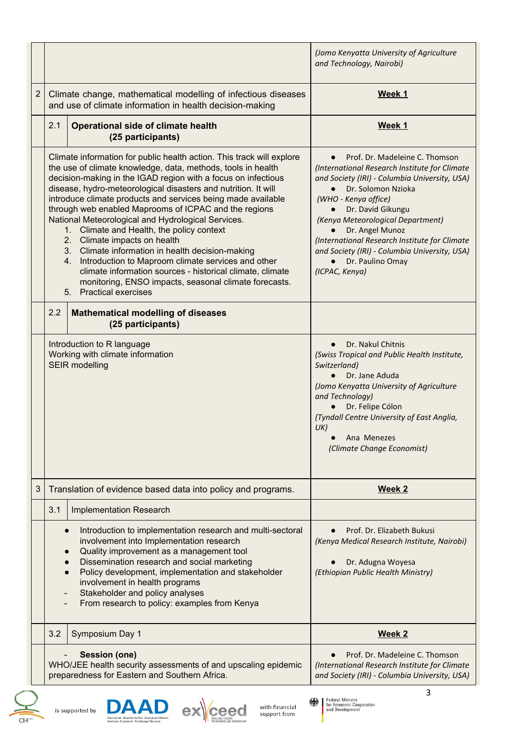|                |           |                                                                                                                                                                                                                                                                                                                                                                                                                                                                                                                                                                                                                                                                                                                                                                                                         | (Jomo Kenyatta University of Agriculture<br>and Technology, Nairobi)                                                                                                                                                                                                                                                                                                                                                          |
|----------------|-----------|---------------------------------------------------------------------------------------------------------------------------------------------------------------------------------------------------------------------------------------------------------------------------------------------------------------------------------------------------------------------------------------------------------------------------------------------------------------------------------------------------------------------------------------------------------------------------------------------------------------------------------------------------------------------------------------------------------------------------------------------------------------------------------------------------------|-------------------------------------------------------------------------------------------------------------------------------------------------------------------------------------------------------------------------------------------------------------------------------------------------------------------------------------------------------------------------------------------------------------------------------|
| $\overline{c}$ |           | Climate change, mathematical modelling of infectious diseases<br>and use of climate information in health decision-making                                                                                                                                                                                                                                                                                                                                                                                                                                                                                                                                                                                                                                                                               | Week 1                                                                                                                                                                                                                                                                                                                                                                                                                        |
|                | 2.1       | <b>Operational side of climate health</b><br>(25 participants)                                                                                                                                                                                                                                                                                                                                                                                                                                                                                                                                                                                                                                                                                                                                          | Week 1                                                                                                                                                                                                                                                                                                                                                                                                                        |
|                |           | Climate information for public health action. This track will explore<br>the use of climate knowledge, data, methods, tools in health<br>decision-making in the IGAD region with a focus on infectious<br>disease, hydro-meteorological disasters and nutrition. It will<br>introduce climate products and services being made available<br>through web enabled Maprooms of ICPAC and the regions<br>National Meteorological and Hydrological Services.<br>1. Climate and Health, the policy context<br>2. Climate impacts on health<br>Climate information in health decision-making<br>3.<br>Introduction to Maproom climate services and other<br>4.<br>climate information sources - historical climate, climate<br>monitoring, ENSO impacts, seasonal climate forecasts.<br>5. Practical exercises | Prof. Dr. Madeleine C. Thomson<br>$\bullet$<br>(International Research Institute for Climate<br>and Society (IRI) - Columbia University, USA)<br>Dr. Solomon Nzioka<br>$\bullet$<br>(WHO - Kenya office)<br>Dr. David Gikungu<br>(Kenya Meteorological Department)<br>Dr. Angel Munoz<br>(International Research Institute for Climate<br>and Society (IRI) - Columbia University, USA)<br>Dr. Paulino Omay<br>(ICPAC, Kenya) |
|                | 2.2       | <b>Mathematical modelling of diseases</b><br>(25 participants)                                                                                                                                                                                                                                                                                                                                                                                                                                                                                                                                                                                                                                                                                                                                          |                                                                                                                                                                                                                                                                                                                                                                                                                               |
|                |           | Introduction to R language<br>Working with climate information<br><b>SEIR modelling</b>                                                                                                                                                                                                                                                                                                                                                                                                                                                                                                                                                                                                                                                                                                                 | Dr. Nakul Chitnis<br>$\bullet$<br>(Swiss Tropical and Public Health Institute,<br>Switzerland)<br>Dr. Jane Aduda<br>(Jomo Kenyatta University of Agriculture<br>and Technology)<br>Dr. Felipe Cólon<br>(Tyndall Centre University of East Anglia,<br>UK)<br>Ana Menezes<br>(Climate Change Economist)                                                                                                                         |
| 3              |           | Translation of evidence based data into policy and programs.                                                                                                                                                                                                                                                                                                                                                                                                                                                                                                                                                                                                                                                                                                                                            | Week 2                                                                                                                                                                                                                                                                                                                                                                                                                        |
|                | 3.1       | <b>Implementation Research</b>                                                                                                                                                                                                                                                                                                                                                                                                                                                                                                                                                                                                                                                                                                                                                                          |                                                                                                                                                                                                                                                                                                                                                                                                                               |
|                | $\bullet$ | Introduction to implementation research and multi-sectoral<br>involvement into Implementation research<br>Quality improvement as a management tool<br>Dissemination research and social marketing<br>Policy development, implementation and stakeholder<br>involvement in health programs<br>Stakeholder and policy analyses<br>From research to policy: examples from Kenya                                                                                                                                                                                                                                                                                                                                                                                                                            | Prof. Dr. Elizabeth Bukusi<br>(Kenya Medical Research Institute, Nairobi)<br>Dr. Adugna Woyesa<br>(Ethiopian Public Health Ministry)                                                                                                                                                                                                                                                                                          |
|                | 3.2       | Symposium Day 1                                                                                                                                                                                                                                                                                                                                                                                                                                                                                                                                                                                                                                                                                                                                                                                         | <b>Week 2</b>                                                                                                                                                                                                                                                                                                                                                                                                                 |
|                |           | <b>Session (one)</b><br>WHO/JEE health security assessments of and upscaling epidemic<br>preparedness for Eastern and Southern Africa.                                                                                                                                                                                                                                                                                                                                                                                                                                                                                                                                                                                                                                                                  | Prof. Dr. Madeleine C. Thomson<br>(International Research Institute for Climate<br>and Society (IRI) - Columbia University, USA)                                                                                                                                                                                                                                                                                              |
|                |           |                                                                                                                                                                                                                                                                                                                                                                                                                                                                                                                                                                                                                                                                                                                                                                                                         | 3                                                                                                                                                                                                                                                                                                                                                                                                                             |







ı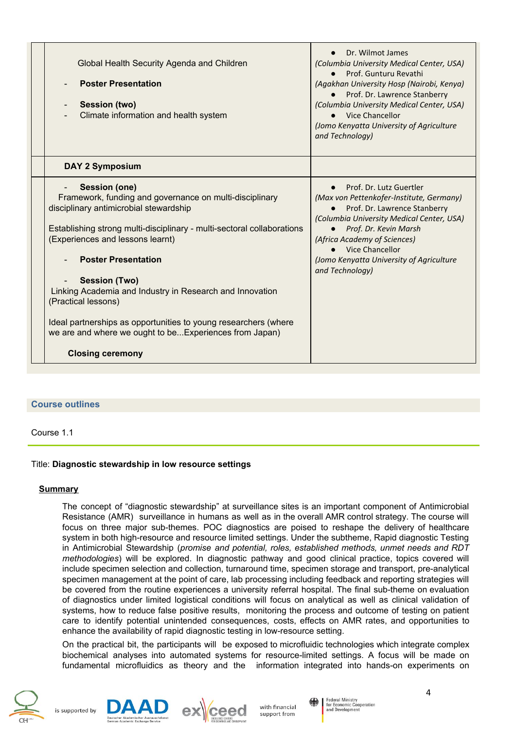| Global Health Security Agenda and Children<br><b>Poster Presentation</b><br><b>Session (two)</b><br>Climate information and health system                                                                                                                                                                                                                                                                                                                                                                                                | Dr. Wilmot James<br>(Columbia University Medical Center, USA)<br>Prof. Gunturu Revathi<br>(Agakhan University Hosp (Nairobi, Kenya)<br>Prof. Dr. Lawrence Stanberry<br>(Columbia University Medical Center, USA)<br>• Vice Chancellor<br>(Jomo Kenyatta University of Agriculture<br>and Technology) |
|------------------------------------------------------------------------------------------------------------------------------------------------------------------------------------------------------------------------------------------------------------------------------------------------------------------------------------------------------------------------------------------------------------------------------------------------------------------------------------------------------------------------------------------|------------------------------------------------------------------------------------------------------------------------------------------------------------------------------------------------------------------------------------------------------------------------------------------------------|
| <b>DAY 2 Symposium</b>                                                                                                                                                                                                                                                                                                                                                                                                                                                                                                                   |                                                                                                                                                                                                                                                                                                      |
| <b>Session (one)</b><br>Framework, funding and governance on multi-disciplinary<br>disciplinary antimicrobial stewardship<br>Establishing strong multi-disciplinary - multi-sectoral collaborations<br>(Experiences and lessons learnt)<br><b>Poster Presentation</b><br><b>Session (Two)</b><br>Linking Academia and Industry in Research and Innovation<br>(Practical lessons)<br>Ideal partnerships as opportunities to young researchers (where<br>we are and where we ought to beExperiences from Japan)<br><b>Closing ceremony</b> | Prof. Dr. Lutz Guertler<br>(Max von Pettenkofer-Institute, Germany)<br>Prof. Dr. Lawrence Stanberry<br>(Columbia University Medical Center, USA)<br>Prof. Dr. Kevin Marsh<br>(Africa Academy of Sciences)<br>Vice Chancellor<br>(Jomo Kenyatta University of Agriculture<br>and Technology)          |

#### **Course outlines**

Course 1.1

#### Title: **Diagnostic stewardship in low resource settings**

#### **Summary**

The concept of "diagnostic stewardship" at surveillance sites is an important component of Antimicrobial Resistance (AMR) surveillance in humans as well as in the overall AMR control strategy. The course will focus on three major sub-themes. POC diagnostics are poised to reshape the delivery of healthcare system in both high-resource and resource limited settings. Under the subtheme, Rapid diagnostic Testing in Antimicrobial Stewardship (*promise and potential, roles, established methods, unmet needs and RDT methodologies*) will be explored. In diagnostic pathway and good clinical practice, topics covered will include specimen selection and collection, turnaround time, specimen storage and transport, pre-analytical specimen management at the point of care, lab processing including feedback and reporting strategies will be covered from the routine experiences a university referral hospital. The final sub-theme on evaluation of diagnostics under limited logistical conditions will focus on analytical as well as clinical validation of systems, how to reduce false positive results, monitoring the process and outcome of testing on patient care to identify potential unintended consequences, costs, effects on AMR rates, and opportunities to enhance the availability of rapid diagnostic testing in low-resource setting.

On the practical bit, the participants will be exposed to microfluidic technologies which integrate complex biochemical analyses into automated systems for resource-limited settings. A focus will be made on fundamental microfluidics as theory and the information integrated into hands-on experiments on







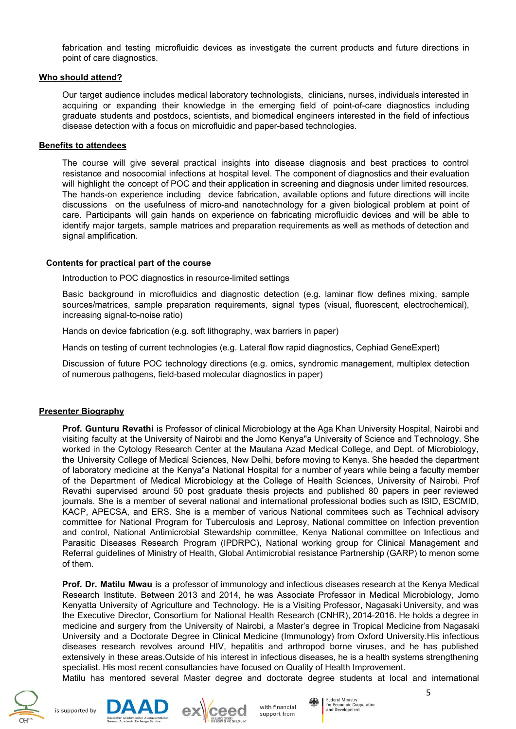fabrication and testing microfluidic devices as investigate the current products and future directions in point of care diagnostics.

#### **Who should attend?**

Our target audience includes medical laboratory technologists, clinicians, nurses, individuals interested in acquiring or expanding their knowledge in the emerging field of point-of-care diagnostics including graduate students and postdocs, scientists, and biomedical engineers interested in the field of infectious disease detection with a focus on microfluidic and paper-based technologies.

#### **Benefits to attendees**

The course will give several practical insights into disease diagnosis and best practices to control resistance and nosocomial infections at hospital level. The component of diagnostics and their evaluation will highlight the concept of POC and their application in screening and diagnosis under limited resources. The hands-on experience including device fabrication, available options and future directions will incite discussions on the usefulness of micro-and nanotechnology for a given biological problem at point of care. Participants will gain hands on experience on fabricating microfluidic devices and will be able to identify major targets, sample matrices and preparation requirements as well as methods of detection and signal amplification.

#### **Contents for practical part of the course**

Introduction to POC diagnostics in resource-limited settings

Basic background in microfluidics and diagnostic detection (e.g. laminar flow defines mixing, sample sources/matrices, sample preparation requirements, signal types (visual, fluorescent, electrochemical), increasing signal-to-noise ratio)

Hands on device fabrication (e.g. soft lithography, wax barriers in paper)

Hands on testing of current technologies (e.g. Lateral flow rapid diagnostics, Cephiad GeneExpert)

Discussion of future POC technology directions (e.g. omics, syndromic management, multiplex detection of numerous pathogens, field-based molecular diagnostics in paper)

#### **Presenter Biography**

**Prof. Gunturu Revathi** is Professor of clinical Microbiology at the Aga Khan University Hospital, Nairobi and visiting faculty at the University of Nairobi and the Jomo Kenya"a University of Science and Technology. She worked in the Cytology Research Center at the Maulana Azad Medical College, and Dept. of Microbiology, the University College of Medical Sciences, New Delhi, before moving to Kenya. She headed the department of laboratory medicine at the Kenya"a National Hospital for a number of years while being a faculty member of the Department of Medical Microbiology at the College of Health Sciences, University of Nairobi. Prof Revathi supervised around 50 post graduate thesis projects and published 80 papers in peer reviewed journals. She is a member of several national and international professional bodies such as ISID, ESCMID, KACP, APECSA, and ERS. She is a member of various National commitees such as Technical advisory committee for National Program for Tuberculosis and Leprosy, National committee on Infection prevention and control, National Antimicrobial Stewardship committee, Kenya National committee on Infectious and Parasitic Diseases Research Program (IPDRPC), National working group for Clinical Management and Referral guidelines of Ministry of Health, Global Antimicrobial resistance Partnership (GARP) to menon some of them.

**Prof. Dr. Matilu Mwau** is a professor of immunology and infectious diseases research at the Kenya Medical Research Institute. Between 2013 and 2014, he was Associate Professor in Medical Microbiology, Jomo Kenyatta University of Agriculture and Technology. He is a Visiting Professor, Nagasaki University, and was the Executive Director, Consortium for National Health Research (CNHR), 2014-2016. He holds a degree in medicine and surgery from the University of Nairobi, a Master's degree in Tropical Medicine from Nagasaki University and a Doctorate Degree in Clinical Medicine (Immunology) from Oxford University.His infectious diseases research revolves around HIV, hepatitis and arthropod borne viruses, and he has published extensively in these areas.Outside of his interest in infectious diseases, he is a health systems strengthening specialist. His most recent consultancies have focused on Quality of Health Improvement. Matilu has mentored several Master degree and doctorate degree students at local and international





with financial support from



**Fodoral Ministry** Federal Millistry<br>for Economic Cooperation<br>and Development 5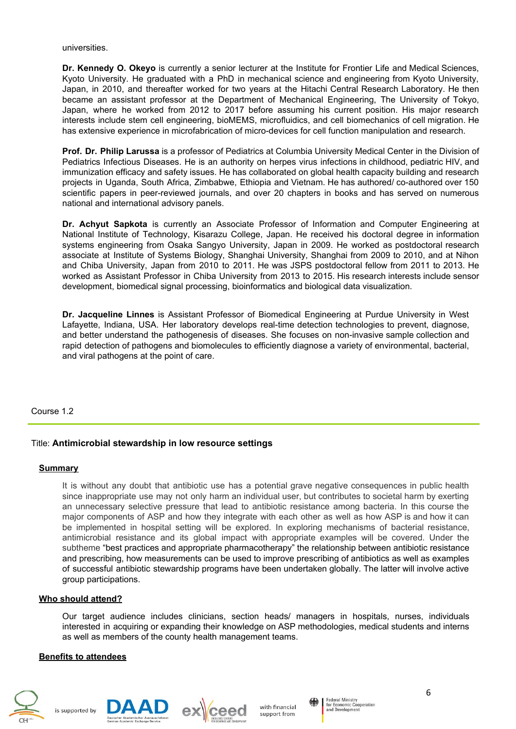universities.

**Dr. Kennedy O. Okeyo** is currently a senior lecturer at the Institute for Frontier Life and Medical Sciences, Kyoto University. He graduated with a PhD in mechanical science and engineering from Kyoto University, Japan, in 2010, and thereafter worked for two years at the Hitachi Central Research Laboratory. He then became an assistant professor at the Department of Mechanical Engineering, The University of Tokyo, Japan, where he worked from 2012 to 2017 before assuming his current position. His major research interests include stem cell engineering, bioMEMS, microfluidics, and cell biomechanics of cell migration. He has extensive experience in microfabrication of micro-devices for cell function manipulation and research.

**Prof. Dr. Philip Larussa** is a professor of Pediatrics at Columbia University Medical Center in the Division of Pediatrics Infectious Diseases. He is an authority on herpes virus infections in childhood, pediatric HIV, and immunization efficacy and safety issues. He has collaborated on global health capacity building and research projects in Uganda, South Africa, Zimbabwe, Ethiopia and Vietnam. He has authored/ co-authored over 150 scientific papers in peer-reviewed journals, and over 20 chapters in books and has served on numerous national and international advisory panels.

**Dr. Achyut Sapkota** is currently an Associate Professor of Information and Computer Engineering at National Institute of Technology, Kisarazu College, Japan. He received his doctoral degree in information systems engineering from Osaka Sangyo University, Japan in 2009. He worked as postdoctoral research associate at Institute of Systems Biology, Shanghai University, Shanghai from 2009 to 2010, and at Nihon and Chiba University, Japan from 2010 to 2011. He was JSPS postdoctoral fellow from 2011 to 2013. He worked as Assistant Professor in Chiba University from 2013 to 2015. His research interests include sensor development, biomedical signal processing, bioinformatics and biological data visualization.

**Dr. Jacqueline Linnes** is Assistant Professor of Biomedical Engineering at Purdue University in West Lafayette, Indiana, USA. Her laboratory develops real-time detection technologies to prevent, diagnose, and better understand the pathogenesis of diseases. She focuses on non-invasive sample collection and rapid detection of pathogens and biomolecules to efficiently diagnose a variety of environmental, bacterial, and viral pathogens at the point of care.

Course 1.2

#### Title: **Antimicrobial stewardship in low resource settings**

#### **Summary**

It is without any doubt that antibiotic use has a potential grave negative consequences in public health since inappropriate use may not only harm an individual user, but contributes to societal harm by exerting an unnecessary selective pressure that lead to antibiotic resistance among bacteria. In this course the major components of ASP and how they integrate with each other as well as how ASP is and how it can be implemented in hospital setting will be explored. In exploring mechanisms of bacterial resistance, antimicrobial resistance and its global impact with appropriate examples will be covered. Under the subtheme "best practices and appropriate pharmacotherapy" the relationship between antibiotic resistance and prescribing, how measurements can be used to improve prescribing of antibiotics as well as examples of successful antibiotic stewardship programs have been undertaken globally. The latter will involve active group participations.

#### **Who should attend?**

Our target audience includes clinicians, section heads/ managers in hospitals, nurses, individuals interested in acquiring or expanding their knowledge on ASP methodologies, medical students and interns as well as members of the county health management teams.

#### **Benefits to attendees**







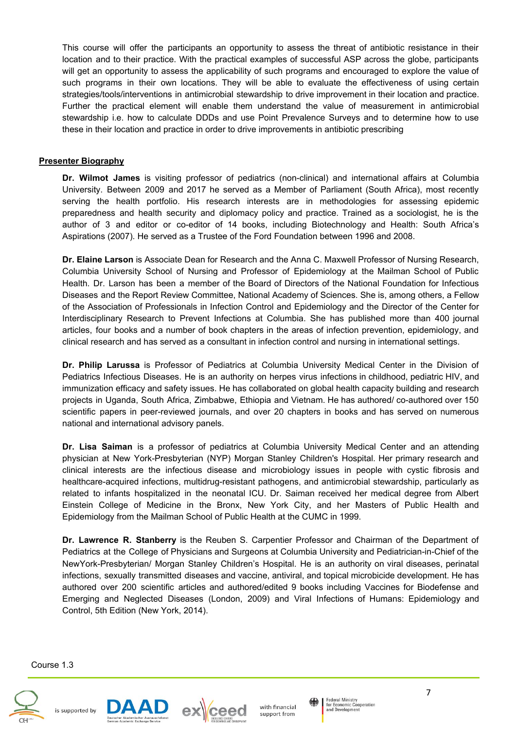This course will offer the participants an opportunity to assess the threat of antibiotic resistance in their location and to their practice. With the practical examples of successful ASP across the globe, participants will get an opportunity to assess the applicability of such programs and encouraged to explore the value of such programs in their own locations. They will be able to evaluate the effectiveness of using certain strategies/tools/interventions in antimicrobial stewardship to drive improvement in their location and practice. Further the practical element will enable them understand the value of measurement in antimicrobial stewardship i.e. how to calculate DDDs and use Point Prevalence Surveys and to determine how to use these in their location and practice in order to drive improvements in antibiotic prescribing

#### **Presenter Biography**

**Dr. Wilmot James** is visiting professor of pediatrics (non-clinical) and international affairs at Columbia University. Between 2009 and 2017 he served as a Member of Parliament (South Africa), most recently serving the health portfolio. His research interests are in methodologies for assessing epidemic preparedness and health security and diplomacy policy and practice. Trained as a sociologist, he is the author of 3 and editor or co-editor of 14 books, including Biotechnology and Health: South Africa's Aspirations (2007). He served as a Trustee of the Ford Foundation between 1996 and 2008.

**Dr. Elaine Larson** is Associate Dean for Research and the Anna C. Maxwell Professor of Nursing Research, Columbia University School of Nursing and Professor of Epidemiology at the Mailman School of Public Health. Dr. Larson has been a member of the Board of Directors of the National Foundation for Infectious Diseases and the Report Review Committee, National Academy of Sciences. She is, among others, a Fellow of the Association of Professionals in Infection Control and Epidemiology and the Director of the Center for Interdisciplinary Research to Prevent Infections at Columbia. She has published more than 400 journal articles, four books and a number of book chapters in the areas of infection prevention, epidemiology, and clinical research and has served as a consultant in infection control and nursing in international settings.

**Dr. Philip Larussa** is Professor of Pediatrics at Columbia University Medical Center in the Division of Pediatrics Infectious Diseases. He is an authority on herpes virus infections in childhood, pediatric HIV, and immunization efficacy and safety issues. He has collaborated on global health capacity building and research projects in Uganda, South Africa, Zimbabwe, Ethiopia and Vietnam. He has authored/ co-authored over 150 scientific papers in peer-reviewed journals, and over 20 chapters in books and has served on numerous national and international advisory panels.

**Dr. Lisa Saiman** is a professor of pediatrics at Columbia University Medical Center and an attending physician at New York-Presbyterian (NYP) Morgan Stanley Children's Hospital. Her primary research and clinical interests are the infectious disease and microbiology issues in people with cystic fibrosis and healthcare-acquired infections, multidrug-resistant pathogens, and antimicrobial stewardship, particularly as related to infants hospitalized in the neonatal ICU. Dr. Saiman received her medical degree from Albert Einstein College of Medicine in the Bronx, New York City, and her Masters of Public Health and Epidemiology from the Mailman School of Public Health at the CUMC in 1999.

**Dr. Lawrence R. Stanberry** is the Reuben S. Carpentier Professor and Chairman of the Department of Pediatrics at the College of Physicians and Surgeons at Columbia University and Pediatrician-in-Chief of the NewYork-Presbyterian/ Morgan Stanley Children's Hospital. He is an authority on viral diseases, perinatal infections, sexually transmitted diseases and vaccine, antiviral, and topical microbicide development. He has authored over 200 scientific articles and authored/edited 9 books including Vaccines for Biodefense and Emerging and Neglected Diseases (London, 2009) and Viral Infections of Humans: Epidemiology and Control, 5th Edition (New York, 2014).

Course 1.3







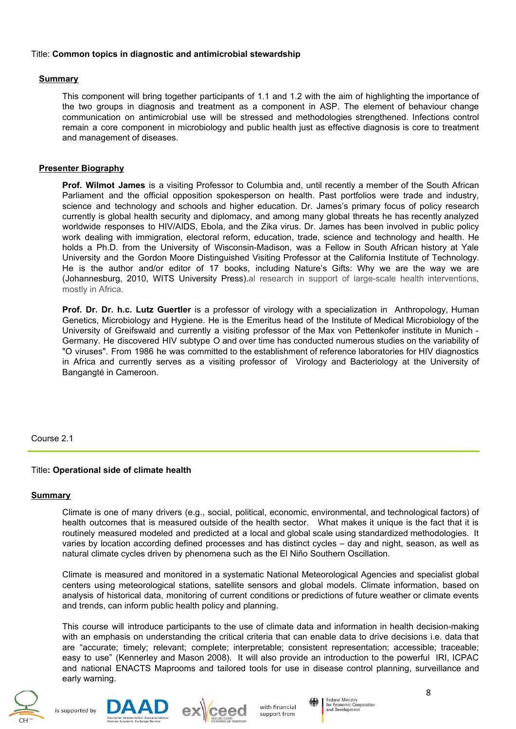#### Title: **Common topics in diagnostic and antimicrobial stewardship**

#### **Summary**

This component will bring together participants of 1.1 and 1.2 with the aim of highlighting the importance of the two groups in diagnosis and treatment as a component in ASP. The element of behaviour change communication on antimicrobial use will be stressed and methodologies strengthened. Infections control remain a core component in microbiology and public health just as effective diagnosis is core to treatment and management of diseases.

## **Presenter Biography**

**Prof. Wilmot James** is a visiting Professor to Columbia and, until recently a member of the South African Parliament and the official opposition spokesperson on health. Past portfolios were trade and industry, science and technology and schools and higher education. Dr. James's primary focus of policy research currently is global health security and diplomacy, and among many global threats he has recently analyzed worldwide responses to HIV/AIDS, Ebola, and the Zika virus. Dr. James has been involved in public policy work dealing with immigration, electoral reform, education, trade, science and technology and health. He holds a Ph.D. from the University of Wisconsin-Madison, was a Fellow in South African history at Yale University and the Gordon Moore Distinguished Visiting Professor at the California Institute of Technology. He is the author and/or editor of 17 books, including Nature's Gifts: Why we are the way we are (Johannesburg, 2010, WITS University Press).al research in support of large-scale health interventions, mostly in Africa.

**Prof. Dr. Dr. h.c. Lutz Guertler** is a professor of virology with a specialization in Anthropology, Human Genetics, Microbiology and Hygiene. He is the Emeritus head of the Institute of Medical Microbiology of the University of Greifswald and currently a visiting professor of the Max von Pettenkofer institute in Munich - Germany. He discovered HIV subtype O and over time has conducted numerous studies on the variability of "O viruses". From 1986 he was committed to the establishment of reference laboratories for HIV diagnostics in Africa and currently serves as a visiting professor of Virology and Bacteriology at the University of Bangangté in Cameroon.

#### Course 2.1

## Title**: Operational side of climate health**

#### **Summary**

Climate is one of many drivers (e.g., social, political, economic, environmental, and technological factors) of health outcomes that is measured outside of the health sector. What makes it unique is the fact that it is routinely measured modeled and predicted at a local and global scale using standardized methodologies. It varies by location according defined processes and has distinct cycles – day and night, season, as well as natural climate cycles driven by phenomena such as the El Niño Southern Oscillation.

Climate is measured and monitored in a systematic National Meteorological Agencies and specialist global centers using meteorological stations, satellite sensors and global models. Climate information, based on analysis of historical data, monitoring of current conditions or predictions of future weather or climate events and trends, can inform public health policy and planning.

This course will introduce participants to the use of climate data and information in health decision-making with an emphasis on understanding the critical criteria that can enable data to drive decisions i.e. data that are "accurate; timely; relevant; complete; interpretable; consistent representation; accessible; traceable; easy to use" (Kennerley and Mason 2008). It will also provide an introduction to the powerful IRI, ICPAC and national ENACTS Maprooms and tailored tools for use in disease control planning, surveillance and early warning.









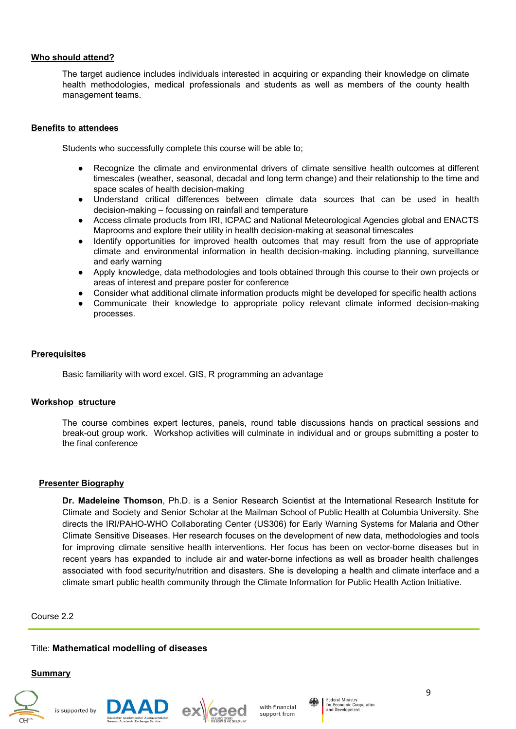#### **Who should attend?**

The target audience includes individuals interested in acquiring or expanding their knowledge on climate health methodologies, medical professionals and students as well as members of the county health management teams.

#### **Benefits to attendees**

Students who successfully complete this course will be able to;

- Recognize the climate and environmental drivers of climate sensitive health outcomes at different timescales (weather, seasonal, decadal and long term change) and their relationship to the time and space scales of health decision-making
- Understand critical differences between climate data sources that can be used in health decision-making – focussing on rainfall and temperature
- Access climate products from IRI, ICPAC and National Meteorological Agencies global and ENACTS Maprooms and explore their utility in health decision-making at seasonal timescales
- Identify opportunities for improved health outcomes that may result from the use of appropriate climate and environmental information in health decision-making. including planning, surveillance and early warning
- Apply knowledge, data methodologies and tools obtained through this course to their own projects or areas of interest and prepare poster for conference
- Consider what additional climate information products might be developed for specific health actions
- Communicate their knowledge to appropriate policy relevant climate informed decision-making processes.

#### **Prerequisites**

Basic familiarity with word excel. GIS, R programming an advantage

#### **Workshop structure**

The course combines expert lectures, panels, round table discussions hands on practical sessions and break-out group work. Workshop activities will culminate in individual and or groups submitting a poster to the final conference

#### **Presenter Biography**

**Dr. Madeleine Thomson**, Ph.D. is a Senior Research Scientist at the International Research Institute for Climate and Society and Senior Scholar at the Mailman School of Public Health at Columbia University. She directs the IRI/PAHO-WHO Collaborating Center (US306) for Early Warning Systems for Malaria and Other Climate Sensitive Diseases. Her research focuses on the development of new data, methodologies and tools for improving climate sensitive health interventions. Her focus has been on vector-borne diseases but in recent years has expanded to include air and water-borne infections as well as broader health challenges associated with food security/nutrition and disasters. She is developing a health and climate interface and a climate smart public health community through the Climate Information for Public Health Action Initiative.

#### Course 2.2

#### Title: **Mathematical modelling of diseases**

#### **Summary**







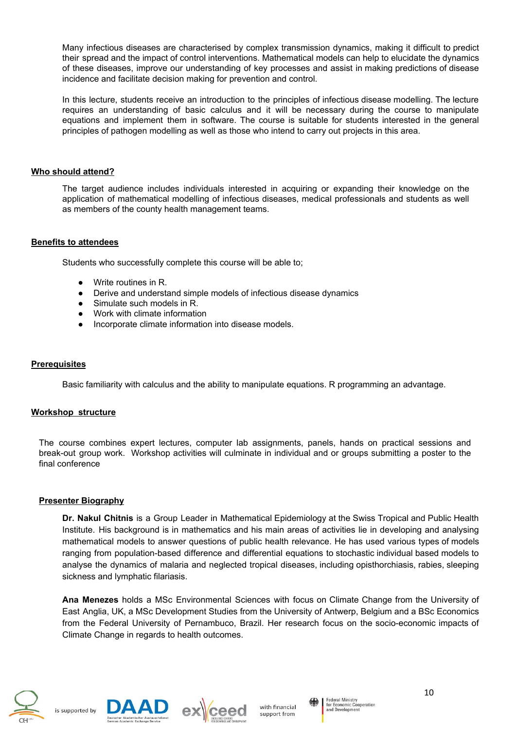Many infectious diseases are characterised by complex transmission dynamics, making it difficult to predict their spread and the impact of control interventions. Mathematical models can help to elucidate the dynamics of these diseases, improve our understanding of key processes and assist in making predictions of disease incidence and facilitate decision making for prevention and control.

In this lecture, students receive an introduction to the principles of infectious disease modelling. The lecture requires an understanding of basic calculus and it will be necessary during the course to manipulate equations and implement them in software. The course is suitable for students interested in the general principles of pathogen modelling as well as those who intend to carry out projects in this area.

#### **Who should attend?**

The target audience includes individuals interested in acquiring or expanding their knowledge on the application of mathematical modelling of infectious diseases, medical professionals and students as well as members of the county health management teams.

#### **Benefits to attendees**

Students who successfully complete this course will be able to;

- Write routines in R.
- Derive and understand simple models of infectious disease dynamics
- Simulate such models in R.
- Work with climate information
- Incorporate climate information into disease models.

#### **Prerequisites**

Basic familiarity with calculus and the ability to manipulate equations. R programming an advantage.

#### **Workshop structure**

The course combines expert lectures, computer lab assignments, panels, hands on practical sessions and break-out group work. Workshop activities will culminate in individual and or groups submitting a poster to the final conference

#### **Presenter Biography**

**Dr. Nakul Chitnis** is a Group Leader in Mathematical Epidemiology at the Swiss Tropical and Public Health Institute. His background is in mathematics and his main areas of activities lie in developing and analysing mathematical models to answer questions of public health relevance. He has used various types of models ranging from population-based difference and differential equations to stochastic individual based models to analyse the dynamics of malaria and neglected tropical diseases, including opisthorchiasis, rabies, sleeping sickness and lymphatic filariasis.

**Ana Menezes** holds a MSc Environmental Sciences with focus on Climate Change from the University of East Anglia, UK, a MSc Development Studies from the University of Antwerp, Belgium and a BSc Economics from the Federal University of Pernambuco, Brazil. Her research focus on the socio-economic impacts of Climate Change in regards to health outcomes.







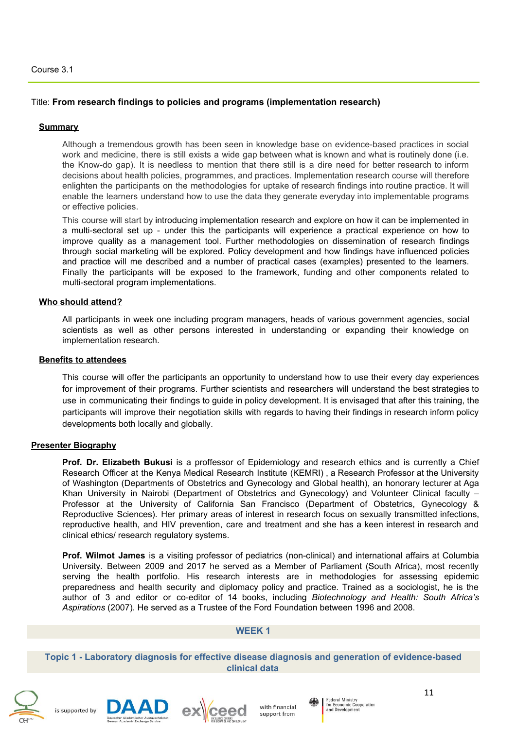## Title: **From research findings to policies and programs (implementation research)**

#### **Summary**

Although a tremendous growth has been seen in knowledge base on evidence-based practices in social work and medicine, there is still exists a wide gap between what is known and what is routinely done (i.e. the Know-do gap). It is needless to mention that there still is a dire need for better research to inform decisions about health policies, programmes, and practices. Implementation research course will therefore enlighten the participants on the methodologies for uptake of research findings into routine practice. It will enable the learners understand how to use the data they generate everyday into implementable programs or effective policies.

This course will start by introducing implementation research and explore on how it can be implemented in a multi-sectoral set up - under this the participants will experience a practical experience on how to improve quality as a management tool. Further methodologies on dissemination of research findings through social marketing will be explored. Policy development and how findings have influenced policies and practice will me described and a number of practical cases (examples) presented to the learners. Finally the participants will be exposed to the framework, funding and other components related to multi-sectoral program implementations.

#### **Who should attend?**

All participants in week one including program managers, heads of various government agencies, social scientists as well as other persons interested in understanding or expanding their knowledge on implementation research.

#### **Benefits to attendees**

This course will offer the participants an opportunity to understand how to use their every day experiences for improvement of their programs. Further scientists and researchers will understand the best strategies to use in communicating their findings to guide in policy development. It is envisaged that after this training, the participants will improve their negotiation skills with regards to having their findings in research inform policy developments both locally and globally.

#### **Presenter Biography**

**Prof. Dr. Elizabeth Bukusi** is a proffessor of Epidemiology and research ethics and is currently a Chief Research Officer at the Kenya Medical Research Institute (KEMRI) , a Research Professor at the University of Washington (Departments of Obstetrics and Gynecology and Global health), an honorary lecturer at Aga Khan University in Nairobi (Department of Obstetrics and Gynecology) and Volunteer Clinical faculty -Professor at the University of California San Francisco (Department of Obstetrics, Gynecology & Reproductive Sciences). Her primary areas of interest in research focus on sexually transmitted infections, reproductive health, and HIV prevention, care and treatment and she has a keen interest in research and clinical ethics/ research regulatory systems.

**Prof. Wilmot James** is a visiting professor of pediatrics (non-clinical) and international affairs at Columbia University. Between 2009 and 2017 he served as a Member of Parliament (South Africa), most recently serving the health portfolio. His research interests are in methodologies for assessing epidemic preparedness and health security and diplomacy policy and practice. Trained as a sociologist, he is the author of 3 and editor or co-editor of 14 books, including *Biotechnology and Health: South Africa's Aspirations* (2007). He served as a Trustee of the Ford Foundation between 1996 and 2008.

#### **WEEK 1**

**Topic 1 - Laboratory diagnosis for effective disease diagnosis and generation of evidence-based clinical data**









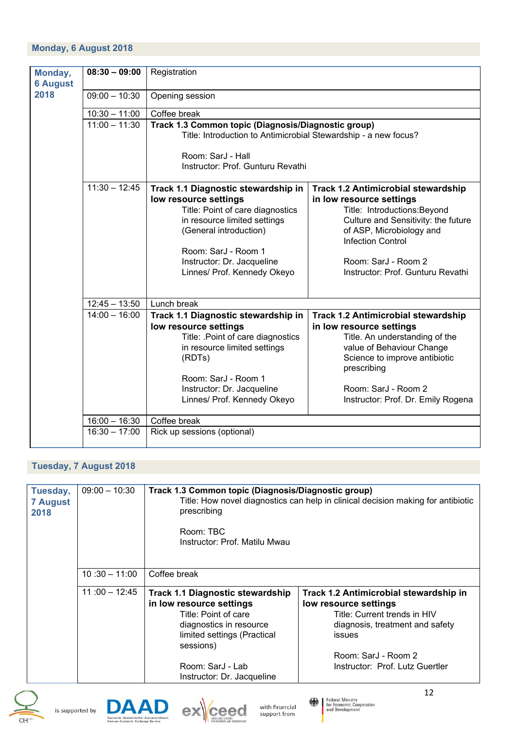| Monday,         | $08:30 - 09:00$ | Registration                                                    |                                            |
|-----------------|-----------------|-----------------------------------------------------------------|--------------------------------------------|
| <b>6 August</b> |                 |                                                                 |                                            |
| 2018            | $09:00 - 10:30$ | Opening session                                                 |                                            |
|                 | $10:30 - 11:00$ | Coffee break                                                    |                                            |
|                 | $11:00 - 11:30$ | Track 1.3 Common topic (Diagnosis/Diagnostic group)             |                                            |
|                 |                 | Title: Introduction to Antimicrobial Stewardship - a new focus? |                                            |
|                 |                 |                                                                 |                                            |
|                 |                 | Room: SarJ - Hall                                               |                                            |
|                 |                 | Instructor: Prof. Gunturu Revathi                               |                                            |
|                 | $11:30 - 12:45$ | Track 1.1 Diagnostic stewardship in                             | <b>Track 1.2 Antimicrobial stewardship</b> |
|                 |                 | low resource settings                                           | in low resource settings                   |
|                 |                 | Title: Point of care diagnostics                                | Title: Introductions: Beyond               |
|                 |                 | in resource limited settings                                    | Culture and Sensitivity: the future        |
|                 |                 | (General introduction)                                          | of ASP, Microbiology and                   |
|                 |                 |                                                                 | <b>Infection Control</b>                   |
|                 |                 | Room: SarJ - Room 1                                             |                                            |
|                 |                 | Instructor: Dr. Jacqueline                                      | Room: SarJ - Room 2                        |
|                 |                 | Linnes/ Prof. Kennedy Okeyo                                     | Instructor: Prof. Gunturu Revathi          |
|                 |                 |                                                                 |                                            |
|                 |                 |                                                                 |                                            |
|                 | $12:45 - 13:50$ | Lunch break                                                     |                                            |
|                 | $14:00 - 16:00$ | Track 1.1 Diagnostic stewardship in                             | <b>Track 1.2 Antimicrobial stewardship</b> |
|                 |                 | low resource settings                                           | in low resource settings                   |
|                 |                 | Title: .Point of care diagnostics                               | Title. An understanding of the             |
|                 |                 | in resource limited settings                                    | value of Behaviour Change                  |
|                 |                 | (RDTs)                                                          | Science to improve antibiotic              |
|                 |                 |                                                                 | prescribing                                |
|                 |                 | Room: SarJ - Room 1                                             |                                            |
|                 |                 | Instructor: Dr. Jacqueline                                      | Room: SarJ - Room 2                        |
|                 |                 | Linnes/ Prof. Kennedy Okeyo                                     | Instructor: Prof. Dr. Emily Rogena         |
|                 |                 |                                                                 |                                            |
|                 | $16:00 - 16:30$ | Coffee break                                                    |                                            |
|                 | $16:30 - 17:00$ | Rick up sessions (optional)                                     |                                            |
|                 |                 |                                                                 |                                            |

# **Tuesday, 7 August 2018**

| Tuesday,<br><b>7 August</b><br>2018 | $09:00 - 10:30$ | Track 1.3 Common topic (Diagnosis/Diagnostic group)<br>Title: How novel diagnostics can help in clinical decision making for antibiotic<br>prescribing<br>Room: TBC<br>Instructor: Prof. Matilu Mwau                 |                                                                                                                                                                                                        |
|-------------------------------------|-----------------|----------------------------------------------------------------------------------------------------------------------------------------------------------------------------------------------------------------------|--------------------------------------------------------------------------------------------------------------------------------------------------------------------------------------------------------|
|                                     | $10:30 - 11:00$ | Coffee break                                                                                                                                                                                                         |                                                                                                                                                                                                        |
|                                     | $11:00 - 12:45$ | <b>Track 1.1 Diagnostic stewardship</b><br>in low resource settings<br>Title: Point of care<br>diagnostics in resource<br>limited settings (Practical<br>sessions)<br>Room: SarJ - Lab<br>Instructor: Dr. Jacqueline | Track 1.2 Antimicrobial stewardship in<br>low resource settings<br>Title: Current trends in HIV<br>diagnosis, treatment and safety<br>issues<br>Room: SarJ - Room 2<br>Instructor: Prof. Lutz Guertler |





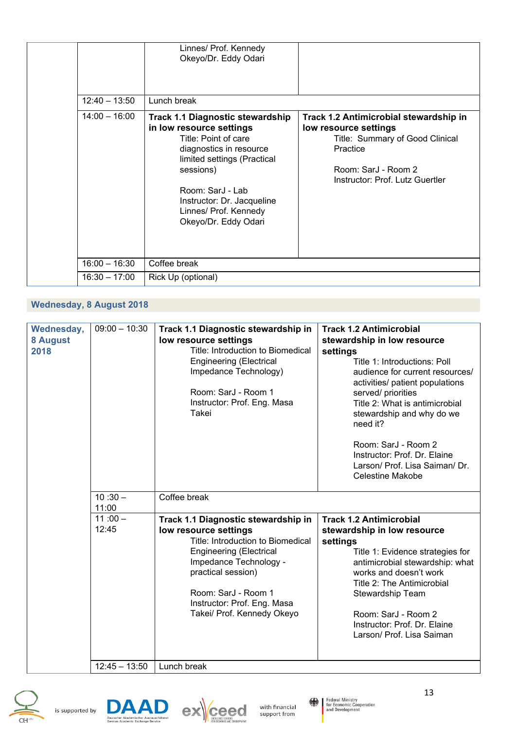|                 | Linnes/ Prof. Kennedy<br>Okeyo/Dr. Eddy Odari                                                                                                                                                                                                                         |                                                                                                                                                                          |
|-----------------|-----------------------------------------------------------------------------------------------------------------------------------------------------------------------------------------------------------------------------------------------------------------------|--------------------------------------------------------------------------------------------------------------------------------------------------------------------------|
| $12:40 - 13:50$ | Lunch break                                                                                                                                                                                                                                                           |                                                                                                                                                                          |
| $14:00 - 16:00$ | <b>Track 1.1 Diagnostic stewardship</b><br>in low resource settings<br>Title: Point of care<br>diagnostics in resource<br>limited settings (Practical<br>sessions)<br>Room: SarJ - Lab<br>Instructor: Dr. Jacqueline<br>Linnes/ Prof. Kennedy<br>Okeyo/Dr. Eddy Odari | Track 1.2 Antimicrobial stewardship in<br>low resource settings<br>Title: Summary of Good Clinical<br>Practice<br>Room: SarJ - Room 2<br>Instructor: Prof. Lutz Guertler |
| $16:00 - 16:30$ | Coffee break                                                                                                                                                                                                                                                          |                                                                                                                                                                          |
| $16:30 - 17:00$ | Rick Up (optional)                                                                                                                                                                                                                                                    |                                                                                                                                                                          |

# **Wednesday, 8 August 2018**

| Wednesday,<br>8 August<br>2018 | $09:00 - 10:30$    | Track 1.1 Diagnostic stewardship in<br>low resource settings<br>Title: Introduction to Biomedical<br><b>Engineering (Electrical</b><br>Impedance Technology)<br>Room: SarJ - Room 1<br>Instructor: Prof. Eng. Masa<br>Takei                                             | <b>Track 1.2 Antimicrobial</b><br>stewardship in low resource<br>settings<br>Title 1: Introductions: Poll<br>audience for current resources/<br>activities/ patient populations<br>served/ priorities<br>Title 2: What is antimicrobial<br>stewardship and why do we<br>need it?<br>Room: SarJ - Room 2<br>Instructor: Prof. Dr. Elaine<br>Larson/ Prof. Lisa Saiman/ Dr.<br>Celestine Makobe |
|--------------------------------|--------------------|-------------------------------------------------------------------------------------------------------------------------------------------------------------------------------------------------------------------------------------------------------------------------|-----------------------------------------------------------------------------------------------------------------------------------------------------------------------------------------------------------------------------------------------------------------------------------------------------------------------------------------------------------------------------------------------|
|                                | $10:30 -$<br>11:00 | Coffee break                                                                                                                                                                                                                                                            |                                                                                                                                                                                                                                                                                                                                                                                               |
|                                | $11:00 -$<br>12:45 | Track 1.1 Diagnostic stewardship in<br>low resource settings<br>Title: Introduction to Biomedical<br><b>Engineering (Electrical</b><br>Impedance Technology -<br>practical session)<br>Room: SarJ - Room 1<br>Instructor: Prof. Eng. Masa<br>Takei/ Prof. Kennedy Okeyo | <b>Track 1.2 Antimicrobial</b><br>stewardship in low resource<br>settings<br>Title 1: Evidence strategies for<br>antimicrobial stewardship: what<br>works and doesn't work<br>Title 2: The Antimicrobial<br>Stewardship Team<br>Room: SarJ - Room 2<br>Instructor: Prof. Dr. Elaine<br>Larson/ Prof. Lisa Saiman                                                                              |
|                                | $12:45 - 13:50$    | Lunch break                                                                                                                                                                                                                                                             |                                                                                                                                                                                                                                                                                                                                                                                               |





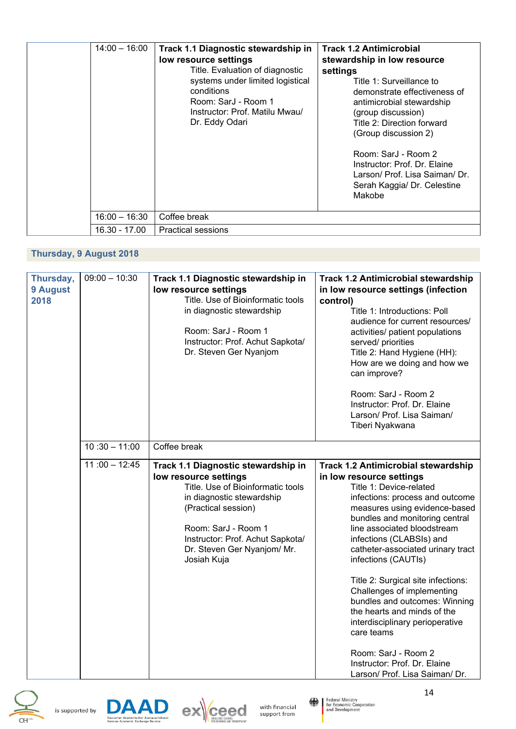| $14:00 - 16:00$ | Track 1.1 Diagnostic stewardship in<br>low resource settings<br>Title. Evaluation of diagnostic<br>systems under limited logistical<br>conditions<br>Room: SarJ - Room 1<br>Instructor: Prof. Matilu Mwau/<br>Dr. Eddy Odari | <b>Track 1.2 Antimicrobial</b><br>stewardship in low resource<br>settings<br>Title 1: Surveillance to<br>demonstrate effectiveness of<br>antimicrobial stewardship<br>(group discussion)<br>Title 2: Direction forward<br>(Group discussion 2)<br>Room: SarJ - Room 2<br>Instructor: Prof. Dr. Elaine<br>Larson/ Prof. Lisa Saiman/ Dr.<br>Serah Kaggia/ Dr. Celestine<br>Makobe |
|-----------------|------------------------------------------------------------------------------------------------------------------------------------------------------------------------------------------------------------------------------|----------------------------------------------------------------------------------------------------------------------------------------------------------------------------------------------------------------------------------------------------------------------------------------------------------------------------------------------------------------------------------|
| 16:00 - 16:30   | Coffee break                                                                                                                                                                                                                 |                                                                                                                                                                                                                                                                                                                                                                                  |
| 16.30 - 17.00   | <b>Practical sessions</b>                                                                                                                                                                                                    |                                                                                                                                                                                                                                                                                                                                                                                  |

# **Thursday, 9 August 2018**

| Thursday,<br>9 August<br>2018 | $09:00 - 10:30$ | Track 1.1 Diagnostic stewardship in<br>low resource settings<br>Title. Use of Bioinformatic tools<br>in diagnostic stewardship<br>Room: SarJ - Room 1<br>Instructor: Prof. Achut Sapkota/<br>Dr. Steven Ger Nyanjom                                            | <b>Track 1.2 Antimicrobial stewardship</b><br>in low resource settings (infection<br>control)<br>Title 1: Introductions: Poll<br>audience for current resources/<br>activities/ patient populations<br>served/ priorities<br>Title 2: Hand Hygiene (HH):<br>How are we doing and how we<br>can improve?<br>Room: SarJ - Room 2<br>Instructor: Prof. Dr. Elaine<br>Larson/ Prof. Lisa Saiman/<br>Tiberi Nyakwana                                                                                                                                                                                              |
|-------------------------------|-----------------|----------------------------------------------------------------------------------------------------------------------------------------------------------------------------------------------------------------------------------------------------------------|--------------------------------------------------------------------------------------------------------------------------------------------------------------------------------------------------------------------------------------------------------------------------------------------------------------------------------------------------------------------------------------------------------------------------------------------------------------------------------------------------------------------------------------------------------------------------------------------------------------|
|                               | $10:30 - 11:00$ | Coffee break                                                                                                                                                                                                                                                   |                                                                                                                                                                                                                                                                                                                                                                                                                                                                                                                                                                                                              |
|                               | $11:00 - 12:45$ | Track 1.1 Diagnostic stewardship in<br>low resource settings<br>Title. Use of Bioinformatic tools<br>in diagnostic stewardship<br>(Practical session)<br>Room: SarJ - Room 1<br>Instructor: Prof. Achut Sapkota/<br>Dr. Steven Ger Nyanjom/ Mr.<br>Josiah Kuja | <b>Track 1.2 Antimicrobial stewardship</b><br>in low resource settings<br>Title 1: Device-related<br>infections: process and outcome<br>measures using evidence-based<br>bundles and monitoring central<br>line associated bloodstream<br>infections (CLABSIs) and<br>catheter-associated urinary tract<br>infections (CAUTIs)<br>Title 2: Surgical site infections:<br>Challenges of implementing<br>bundles and outcomes: Winning<br>the hearts and minds of the<br>interdisciplinary perioperative<br>care teams<br>Room: SarJ - Room 2<br>Instructor: Prof. Dr. Elaine<br>Larson/ Prof. Lisa Saiman/ Dr. |



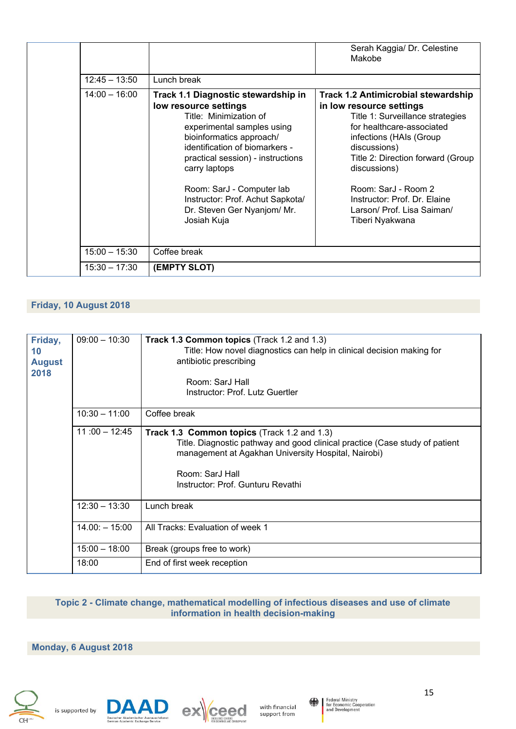|                 |                                                                                                                                                                                                                                                                                                                                                         | Serah Kaggia/ Dr. Celestine<br>Makobe                                                                                                                                                                                                                                                                                                            |
|-----------------|---------------------------------------------------------------------------------------------------------------------------------------------------------------------------------------------------------------------------------------------------------------------------------------------------------------------------------------------------------|--------------------------------------------------------------------------------------------------------------------------------------------------------------------------------------------------------------------------------------------------------------------------------------------------------------------------------------------------|
| $12:45 - 13:50$ | Lunch break                                                                                                                                                                                                                                                                                                                                             |                                                                                                                                                                                                                                                                                                                                                  |
| $14:00 - 16:00$ | Track 1.1 Diagnostic stewardship in<br>low resource settings<br>Title: Minimization of<br>experimental samples using<br>bioinformatics approach/<br>identification of biomarkers -<br>practical session) - instructions<br>carry laptops<br>Room: SarJ - Computer lab<br>Instructor: Prof. Achut Sapkota/<br>Dr. Steven Ger Nyanjom/ Mr.<br>Josiah Kuja | <b>Track 1.2 Antimicrobial stewardship</b><br>in low resource settings<br>Title 1: Surveillance strategies<br>for healthcare-associated<br>infections (HAIs (Group)<br>discussions)<br>Title 2: Direction forward (Group<br>discussions)<br>Room: SarJ - Room 2<br>Instructor: Prof. Dr. Elaine<br>Larson/ Prof. Lisa Saiman/<br>Tiberi Nyakwana |
| $15:00 - 15:30$ | Coffee break                                                                                                                                                                                                                                                                                                                                            |                                                                                                                                                                                                                                                                                                                                                  |
| $15:30 - 17:30$ | (EMPTY SLOT)                                                                                                                                                                                                                                                                                                                                            |                                                                                                                                                                                                                                                                                                                                                  |

# **Friday, 10 August 2018**

| Friday,<br>10<br><b>August</b><br>2018 | $09:00 - 10:30$  | Track 1.3 Common topics (Track 1.2 and 1.3)<br>Title: How novel diagnostics can help in clinical decision making for<br>antibiotic prescribing<br>Room: SarJ Hall<br>Instructor: Prof. Lutz Guertler                                             |
|----------------------------------------|------------------|--------------------------------------------------------------------------------------------------------------------------------------------------------------------------------------------------------------------------------------------------|
|                                        | $10:30 - 11:00$  | Coffee break                                                                                                                                                                                                                                     |
|                                        | $11:00 - 12:45$  | <b>Track 1.3 Common topics (Track 1.2 and 1.3)</b><br>Title. Diagnostic pathway and good clinical practice (Case study of patient<br>management at Agakhan University Hospital, Nairobi)<br>Room: SarJ Hall<br>Instructor: Prof. Gunturu Revathi |
|                                        | $12:30 - 13:30$  | Lunch break                                                                                                                                                                                                                                      |
|                                        | $14.00: - 15:00$ | All Tracks: Evaluation of week 1                                                                                                                                                                                                                 |
|                                        | $15:00 - 18:00$  | Break (groups free to work)                                                                                                                                                                                                                      |
|                                        | 18:00            | End of first week reception                                                                                                                                                                                                                      |

# **Topic 2 - Climate change, mathematical modelling of infectious diseases and use of climate information in health decision-making**

# **Monday, 6 August 2018**







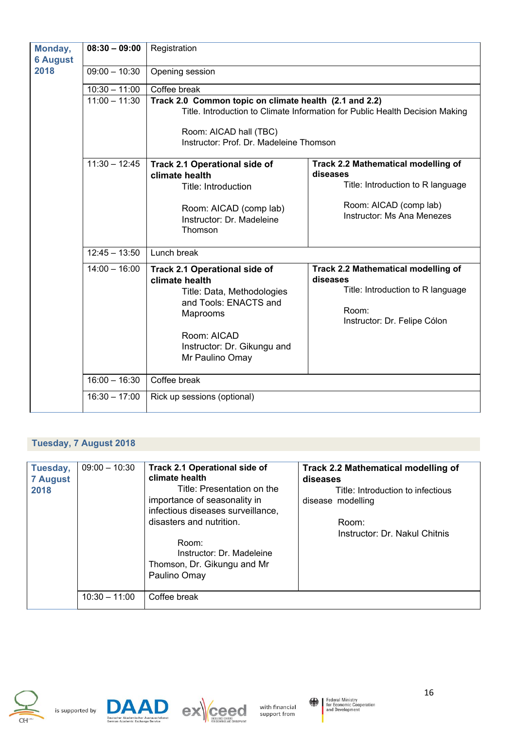| Monday,<br><b>6 August</b> | $08:30 - 09:00$ | Registration                                                                                                                                                                               |                                                                                                                                                     |  |
|----------------------------|-----------------|--------------------------------------------------------------------------------------------------------------------------------------------------------------------------------------------|-----------------------------------------------------------------------------------------------------------------------------------------------------|--|
| 2018                       | $09:00 - 10:30$ | Opening session                                                                                                                                                                            |                                                                                                                                                     |  |
|                            | $10:30 - 11:00$ | Coffee break                                                                                                                                                                               |                                                                                                                                                     |  |
|                            | $11:00 - 11:30$ | Track 2.0 Common topic on climate health (2.1 and 2.2)<br>Room: AICAD hall (TBC)<br>Instructor: Prof. Dr. Madeleine Thomson                                                                | Title. Introduction to Climate Information for Public Health Decision Making                                                                        |  |
|                            | $11:30 - 12:45$ | <b>Track 2.1 Operational side of</b><br>climate health<br>Title: Introduction<br>Room: AICAD (comp lab)<br>Instructor: Dr. Madeleine<br>Thomson                                            | <b>Track 2.2 Mathematical modelling of</b><br>diseases<br>Title: Introduction to R language<br>Room: AICAD (comp lab)<br>Instructor: Ms Ana Menezes |  |
|                            | $12:45 - 13:50$ | Lunch break                                                                                                                                                                                |                                                                                                                                                     |  |
|                            | $14:00 - 16:00$ | <b>Track 2.1 Operational side of</b><br>climate health<br>Title: Data, Methodologies<br>and Tools: ENACTS and<br>Maprooms<br>Room: AICAD<br>Instructor: Dr. Gikungu and<br>Mr Paulino Omay | <b>Track 2.2 Mathematical modelling of</b><br>diseases<br>Title: Introduction to R language<br>Room:<br>Instructor: Dr. Felipe Cólon                |  |
|                            | $16:00 - 16:30$ | Coffee break                                                                                                                                                                               |                                                                                                                                                     |  |
|                            | $16:30 - 17:00$ | Rick up sessions (optional)                                                                                                                                                                |                                                                                                                                                     |  |

# **Tuesday, 7 August 2018**

| Tuesday,<br><b>7 August</b><br>2018 | $09:00 - 10:30$ | <b>Track 2.1 Operational side of</b><br>climate health<br>Title: Presentation on the<br>importance of seasonality in<br>infectious diseases surveillance,<br>disasters and nutrition.<br>Room:<br>Instructor: Dr. Madeleine<br>Thomson, Dr. Gikungu and Mr<br>Paulino Omay | <b>Track 2.2 Mathematical modelling of</b><br>diseases<br>Title: Introduction to infectious<br>disease modelling<br>Room:<br>Instructor: Dr. Nakul Chitnis |
|-------------------------------------|-----------------|----------------------------------------------------------------------------------------------------------------------------------------------------------------------------------------------------------------------------------------------------------------------------|------------------------------------------------------------------------------------------------------------------------------------------------------------|
|                                     | $10:30 - 11:00$ | Coffee break                                                                                                                                                                                                                                                               |                                                                                                                                                            |







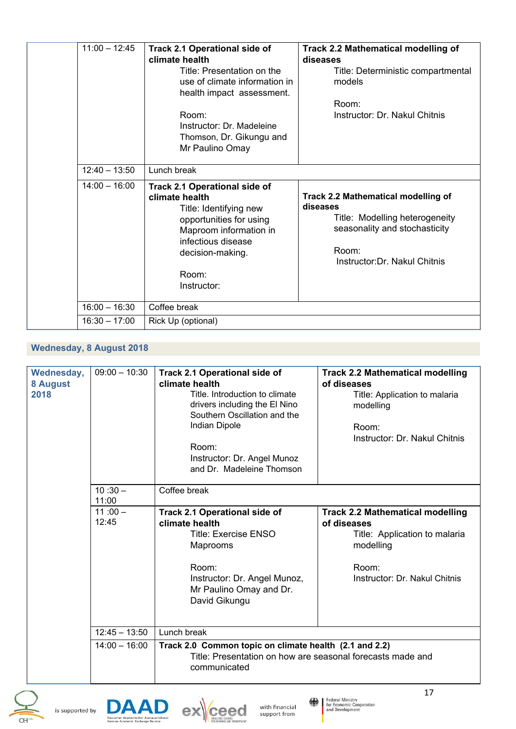| $11:00 - 12:45$ | <b>Track 2.1 Operational side of</b><br>climate health<br>Title: Presentation on the<br>use of climate information in<br>health impact assessment.<br>Room:<br>Instructor: Dr. Madeleine<br>Thomson, Dr. Gikungu and<br>Mr Paulino Omay | <b>Track 2.2 Mathematical modelling of</b><br>diseases<br>Title: Deterministic compartmental<br>models<br>Room:<br>Instructor: Dr. Nakul Chitnis                    |
|-----------------|-----------------------------------------------------------------------------------------------------------------------------------------------------------------------------------------------------------------------------------------|---------------------------------------------------------------------------------------------------------------------------------------------------------------------|
| $12:40 - 13:50$ | Lunch break                                                                                                                                                                                                                             |                                                                                                                                                                     |
| $14:00 - 16:00$ | <b>Track 2.1 Operational side of</b><br>climate health<br>Title: Identifying new<br>opportunities for using<br>Maproom information in<br>infectious disease<br>decision-making.<br>Room:<br>Instructor:                                 | <b>Track 2.2 Mathematical modelling of</b><br>diseases<br>Title: Modelling heterogeneity<br>seasonality and stochasticity<br>Room:<br>Instructor: Dr. Nakul Chitnis |
| $16:00 - 16:30$ | Coffee break                                                                                                                                                                                                                            |                                                                                                                                                                     |
| $16:30 - 17:00$ | Rick Up (optional)                                                                                                                                                                                                                      |                                                                                                                                                                     |

# **Wednesday, 8 August 2018**

| Wednesday,<br>8 August<br>2018 | $09:00 - 10:30$    | <b>Track 2.1 Operational side of</b><br>climate health<br>Title. Introduction to climate<br>drivers including the El Nino<br>Southern Oscillation and the<br>Indian Dipole<br>Room:<br>Instructor: Dr. Angel Munoz<br>and Dr. Madeleine Thomson | <b>Track 2.2 Mathematical modelling</b><br>of diseases<br>Title: Application to malaria<br>modelling<br>Room:<br>Instructor: Dr. Nakul Chitnis |
|--------------------------------|--------------------|-------------------------------------------------------------------------------------------------------------------------------------------------------------------------------------------------------------------------------------------------|------------------------------------------------------------------------------------------------------------------------------------------------|
|                                | $10:30 -$<br>11:00 | Coffee break                                                                                                                                                                                                                                    |                                                                                                                                                |
|                                | $11:00 -$<br>12:45 | <b>Track 2.1 Operational side of</b><br>climate health<br><b>Title: Exercise ENSO</b><br>Maprooms<br>Room:<br>Instructor: Dr. Angel Munoz,<br>Mr Paulino Omay and Dr.<br>David Gikungu                                                          | <b>Track 2.2 Mathematical modelling</b><br>of diseases<br>Title: Application to malaria<br>modelling<br>Room:<br>Instructor: Dr. Nakul Chitnis |
|                                | $12:45 - 13:50$    | Lunch break                                                                                                                                                                                                                                     |                                                                                                                                                |
|                                | $14:00 - 16:00$    | Track 2.0 Common topic on climate health (2.1 and 2.2)<br>Title: Presentation on how are seasonal forecasts made and<br>communicated                                                                                                            |                                                                                                                                                |







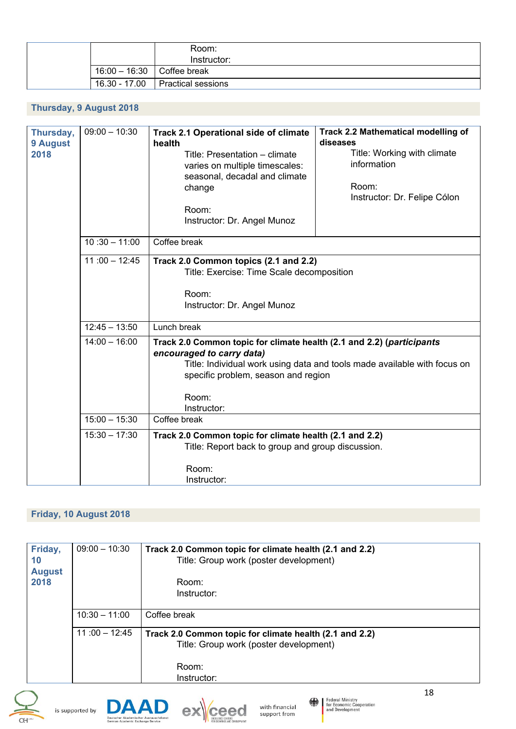|  |                            | Room:<br>Instructor:      |
|--|----------------------------|---------------------------|
|  | 16:00 - 16:30 Coffee break |                           |
|  | 16.30 - 17.00              | <b>Practical sessions</b> |

# **Thursday, 9 August 2018**

| Thursday,<br>9 August<br>2018 | $09:00 - 10:30$ | Track 2.1 Operational side of climate<br>health<br>Title: Presentation - climate<br>varies on multiple timescales:<br>seasonal, decadal and climate<br>change<br>Room:<br>Instructor: Dr. Angel Munoz | <b>Track 2.2 Mathematical modelling of</b><br>diseases<br>Title: Working with climate<br>information<br>Room:<br>Instructor: Dr. Felipe Cólon |
|-------------------------------|-----------------|-------------------------------------------------------------------------------------------------------------------------------------------------------------------------------------------------------|-----------------------------------------------------------------------------------------------------------------------------------------------|
|                               | $10:30 - 11:00$ | Coffee break                                                                                                                                                                                          |                                                                                                                                               |
|                               | $11:00 - 12:45$ | Track 2.0 Common topics (2.1 and 2.2)<br>Title: Exercise: Time Scale decomposition<br>Room:<br>Instructor: Dr. Angel Munoz                                                                            |                                                                                                                                               |
|                               | $12:45 - 13:50$ | Lunch break                                                                                                                                                                                           |                                                                                                                                               |
|                               | $14:00 - 16:00$ | Track 2.0 Common topic for climate health (2.1 and 2.2) (participants<br>encouraged to carry data)<br>specific problem, season and region<br>Room:<br>Instructor:                                     | Title: Individual work using data and tools made available with focus on                                                                      |
|                               | $15:00 - 15:30$ | Coffee break                                                                                                                                                                                          |                                                                                                                                               |
|                               | $15:30 - 17:30$ | Track 2.0 Common topic for climate health (2.1 and 2.2)<br>Title: Report back to group and group discussion.<br>Room:                                                                                 |                                                                                                                                               |
|                               |                 | Instructor:                                                                                                                                                                                           |                                                                                                                                               |

# **Friday, 10 August 2018**

| Friday,<br>10<br><b>August</b><br>2018 | $09:00 - 10:30$ | Track 2.0 Common topic for climate health (2.1 and 2.2)<br>Title: Group work (poster development)<br>Room:<br>Instructor: |
|----------------------------------------|-----------------|---------------------------------------------------------------------------------------------------------------------------|
|                                        | $10:30 - 11:00$ | Coffee break                                                                                                              |
|                                        | $11:00 - 12:45$ | Track 2.0 Common topic for climate health (2.1 and 2.2)<br>Title: Group work (poster development)<br>Room:<br>Instructor: |







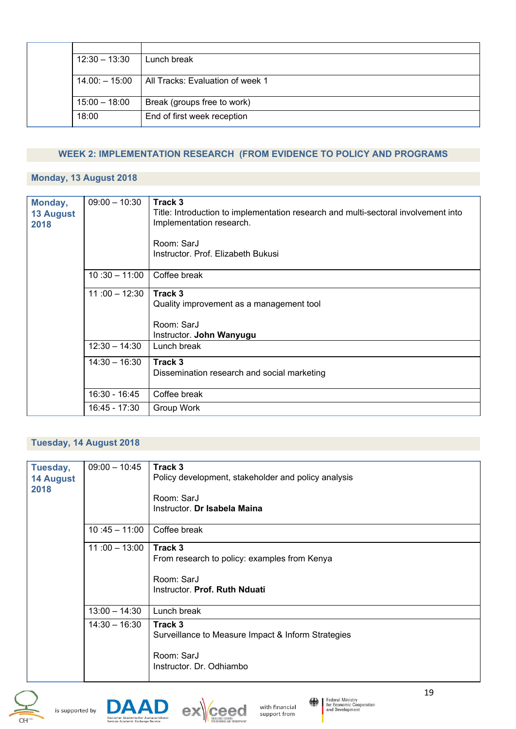|  | $12:30 - 13:30$  | Lunch break                      |
|--|------------------|----------------------------------|
|  | $14.00: - 15:00$ | All Tracks: Evaluation of week 1 |
|  | $15:00 - 18:00$  | Break (groups free to work)      |
|  | 18:00            | End of first week reception      |

## **WEEK 2: IMPLEMENTATION RESEARCH (FROM EVIDENCE TO POLICY AND PROGRAMS**

## **Monday, 13 August 2018**

| Monday,<br><b>13 August</b><br>2018 | $09:00 - 10:30$ | Track 3<br>Title: Introduction to implementation research and multi-sectoral involvement into<br>Implementation research.<br>Room: SarJ<br>Instructor. Prof. Elizabeth Bukusi |
|-------------------------------------|-----------------|-------------------------------------------------------------------------------------------------------------------------------------------------------------------------------|
|                                     | $10:30 - 11:00$ | Coffee break                                                                                                                                                                  |
|                                     | $11:00 - 12:30$ | Track 3<br>Quality improvement as a management tool<br>Room: SarJ<br>Instructor. John Wanyugu                                                                                 |
|                                     | $12:30 - 14:30$ | Lunch break                                                                                                                                                                   |
|                                     | $14:30 - 16:30$ | Track 3<br>Dissemination research and social marketing                                                                                                                        |
|                                     | 16:30 - 16:45   | Coffee break                                                                                                                                                                  |
|                                     | 16:45 - 17:30   | Group Work                                                                                                                                                                    |

## **Tuesday, 14 August 2018**

| Tuesday,         | $09:00 - 10:45$ | Track 3                                             |
|------------------|-----------------|-----------------------------------------------------|
| <b>14 August</b> |                 | Policy development, stakeholder and policy analysis |
| 2018             |                 |                                                     |
|                  |                 | Room: SarJ                                          |
|                  |                 | Instructor. Dr Isabela Maina                        |
|                  | $10:45 - 11:00$ | Coffee break                                        |
|                  | $11:00 - 13:00$ | Track 3                                             |
|                  |                 |                                                     |
|                  |                 | From research to policy: examples from Kenya        |
|                  |                 | Room: SarJ                                          |
|                  |                 |                                                     |
|                  |                 | Instructor. Prof. Ruth Nduati                       |
|                  | $13:00 - 14:30$ | Lunch break                                         |
|                  | $14:30 - 16:30$ | Track 3                                             |
|                  |                 | Surveillance to Measure Impact & Inform Strategies  |
|                  |                 |                                                     |
|                  |                 | Room: SarJ                                          |
|                  |                 | Instructor, Dr. Odhiambo                            |
|                  |                 |                                                     |









19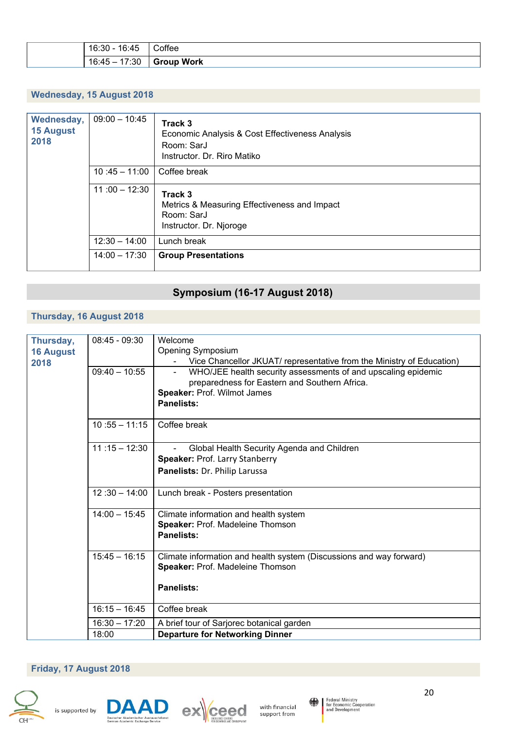| . .<br>16:3∟<br>v. Tu                 | --<br>›ftee        |
|---------------------------------------|--------------------|
| $\sqrt{ }$<br>ים ו<br>. –<br>υ<br>.טט | .<br>Work<br>_____ |

## **Wednesday, 15 August 2018**

| Wednesday,<br><b>15 August</b><br>2018 | $09:00 - 10:45$ | Track 3<br>Economic Analysis & Cost Effectiveness Analysis<br>Room: SarJ<br>Instructor. Dr. Riro Matiko |
|----------------------------------------|-----------------|---------------------------------------------------------------------------------------------------------|
|                                        | $10:45 - 11:00$ | Coffee break                                                                                            |
|                                        | $11:00 - 12:30$ | Track 3<br>Metrics & Measuring Effectiveness and Impact<br>Room: SarJ<br>Instructor. Dr. Njoroge        |
|                                        | $12:30 - 14:00$ | Lunch break                                                                                             |
|                                        | $14:00 - 17:30$ | <b>Group Presentations</b>                                                                              |

# **Symposium (16-17 August 2018)**

# **Thursday, 16 August 2018**

| Thursday,<br><b>16 August</b><br>2018 | $08:45 - 09:30$ | Welcome<br><b>Opening Symposium</b>                                   |
|---------------------------------------|-----------------|-----------------------------------------------------------------------|
|                                       |                 | Vice Chancellor JKUAT/ representative from the Ministry of Education) |
|                                       | $09:40 - 10:55$ | WHO/JEE health security assessments of and upscaling epidemic         |
|                                       |                 | preparedness for Eastern and Southern Africa.                         |
|                                       |                 | Speaker: Prof. Wilmot James                                           |
|                                       |                 | <b>Panelists:</b>                                                     |
|                                       |                 |                                                                       |
|                                       | $10:55 - 11:15$ | Coffee break                                                          |
|                                       |                 |                                                                       |
|                                       | $11:15 - 12:30$ | Global Health Security Agenda and Children                            |
|                                       |                 | Speaker: Prof. Larry Stanberry                                        |
|                                       |                 | Panelists: Dr. Philip Larussa                                         |
|                                       |                 |                                                                       |
|                                       | $12:30 - 14:00$ | Lunch break - Posters presentation                                    |
|                                       |                 |                                                                       |
|                                       | $14:00 - 15:45$ | Climate information and health system                                 |
|                                       |                 | Speaker: Prof. Madeleine Thomson                                      |
|                                       |                 | <b>Panelists:</b>                                                     |
|                                       |                 |                                                                       |
|                                       | $15:45 - 16:15$ | Climate information and health system (Discussions and way forward)   |
|                                       |                 | Speaker: Prof. Madeleine Thomson                                      |
|                                       |                 |                                                                       |
|                                       |                 | <b>Panelists:</b>                                                     |
|                                       |                 |                                                                       |
|                                       | $16:15 - 16:45$ | Coffee break                                                          |
|                                       | $16:30 - 17:20$ | A brief tour of Sarjorec botanical garden                             |
|                                       | 18:00           | <b>Departure for Networking Dinner</b>                                |
|                                       |                 |                                                                       |

# **Friday, 17 August 2018**









20